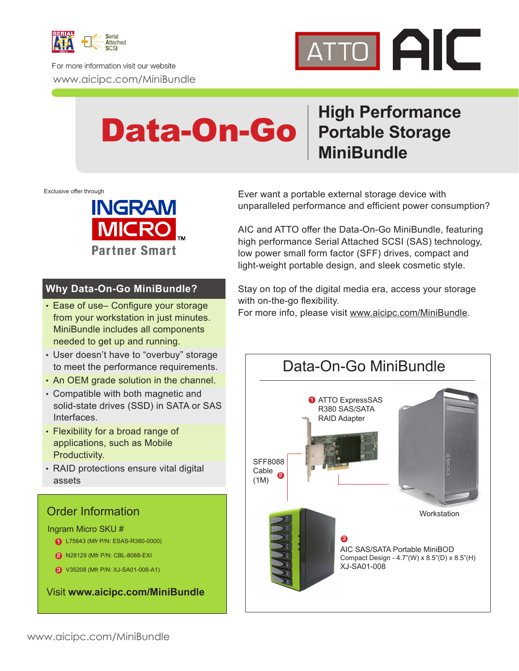

For more information visit our website www.aicipc.com/MiniBundle



## **High Performance Portable Storage MiniBundle** Data-On-Go

Exclusive offer through



### **Why Data-On-Go MiniBundle?**

- Ease of use– Configure your storage from your workstation in just minutes. MiniBundle includes all components needed to get up and running.
- User doesn't have to "overbuy" storage to meet the performance requirements.
- An OEM grade solution in the channel.
- Compatible with both magnetic and solid-state drives (SSD) in SATA or SAS Interfaces.
- Flexibility for a broad range of applications, such as Mobile Productivity.
- RAID protections ensure vital digital assets

## Order Information

Ingram Micro SKU #

- **1** L75643 (Mfr P/N: ESAS-R380-0000)
- **2** N28129 (Mfr P/N: CBL-8088-EXI
- **3** V35208 (Mfr P/N: XJ-SA01-008-A1)

Visit **www.aicipc.com/MiniBundle**

Ever want a portable external storage device with unparalleled performance and efficient power consumption?

AIC and ATTO offer the Data-On-Go MiniBundle, featuring high performance Serial Attached SCSI (SAS) technology, low power small form factor (SFF) drives, compact and light-weight portable design, and sleek cosmetic style.

Stay on top of the digital media era, access your storage with on-the-go flexibility.

For more info, please visit www.aicipc.com/MiniBundle.